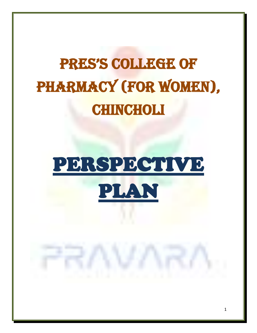# PRES'S COLLEGE OF PHARMACY (FOR WOMEN), **CHINCHOLI**

# PERSPECTIVE PLAN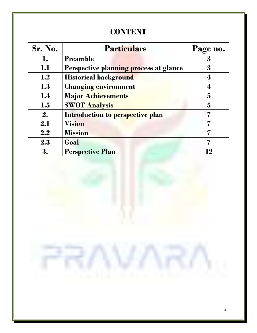## **CONTENT**

| Sr. No. | <b>Particulars</b>                     | Page no. |
|---------|----------------------------------------|----------|
| 1.      | <b>Preamble</b>                        | 3        |
| 1.1     | Perspective planning process at glance | 3        |
| 1.2     | <b>Historical background</b>           |          |
| 1.3     | <b>Changing environment</b>            |          |
| 1.4     | <b>Major Achievements</b>              | 5        |
| 1.5     | <b>SWOT Analysis</b>                   | 5        |
| 2.      | Introduction to perspective plan       |          |
| 2.1     | <b>Vision</b>                          |          |
| 2.2     | <b>Mission</b>                         | 7        |
| 2.3     | Goal                                   | 7        |
| 3.      | <b>Perspective Plan</b>                | 12       |

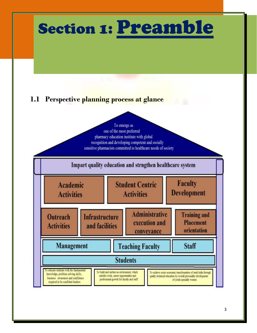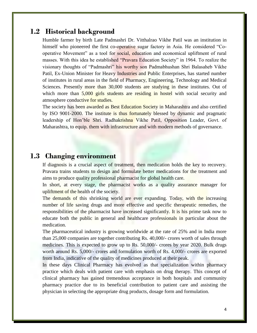## **1.2 Historical background**

Humble farmer by birth Late Padmashri Dr. Vitthalrao Vikhe Patil was an institution in himself who pioneered the first co-operative sugar factory in Asia. He considered "Cooperative Movement" as a tool for social, education and economical upliftment of rural masses. With this idea he established "Pravara Education Society" in 1964. To realize the visionary thoughts of "Padmashri" his worthy son Padmabhushan Shri Balasaheb Vikhe Patil, Ex-Union Minister for Heavy Industries and Public Enterprises, has started number of institutes in rural areas in the field of Pharmacy, Engineering, Technology and Medical Sciences. Presently more than 30,000 students are studying in these institutes. Out of which more than 5,000 girls students are residing in hostel with social security and atmosphere conductive for studies.

The society has been awarded as Best Education Society in Maharashtra and also certified by ISO 9001-2000. The institute is thus fortunately blessed by dynamic and pragmatic leadership of Hon'ble Shri. Radhakrishna Vikhe Patil, Opposition Leader, Govt. of Maharashtra, to equip. them with infrastructure and with modern methods of governance.

### **1.3 Changing environment**

If diagnosis is a crucial aspect of treatment, then medication holds the key to recovery. Pravara trains students to design and formulate better medications for the treatment and aims to produce quality professional pharmacist for global health care.

In short, at every stage, the pharmacist works as a quality assurance manager for upliftment of the health of the society.

The demands of this shrinking world are ever expanding. Today, with the increasing number of life saving drugs and more effective and specific therapeutic remedies, the responsibilities of the pharmacist have increased significantly. It is his prime task now to educate both the public in general and healthcare professionals in particular about the medication.

The pharmaceutical industry is growing worldwide at the rate of 25% and in India more than 25,000 companies are together contributing Rs. 40,000/- crores worth of sales through medicines. This is expected to grow up to Rs. 50,000/- crores by year 2020. Bulk drugs worth around Rs. 5,000/- crores and formulation worth of Rs. 4,000/- crores are exported from India, indicative of the quality of medicines produced at their peak.

In these days Clinical Pharmacy has evolved as that specialization within pharmacy practice which deals with patient care with emphasis on drug therapy. This concept of clinical pharmacy has gained tremendous acceptance in both hospitals and community pharmacy practice due to its beneficial contribution to patient care and assisting the physician in selecting the appropriate drug products, dosage form and formulation.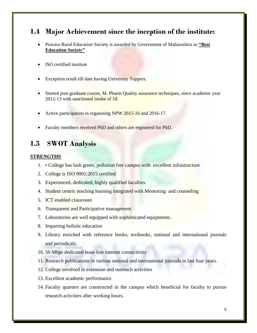## **1.4 Major Achievement since the inception of the institute:**

- Pravara Rural Education Society is awarded by Government of Maharashtra as **"Best Education Society"**
- ISO certified institute
- Exception result till date having University Toppers.
- Started post graduate course, M. Pharm Quality assurance techniques, since academic year 2012-13 with sanctioned intake of 18.
- Active participation in organizing NPW 2015-16 and 2016-17.
- Faculty members received PhD and others are registered for PhD.

## **1.5 SWOT Analysis**

#### **STRENGTHS**

- 1. College has lush green, pollution free campus with excellent infrastructure
- 2. College is ISO 9001:2015 certified
- 3. Experienced, dedicated, highly qualified faculties.
- 4. Student centric teaching learning integrated with Mentoring and counseling
- 5. ICT enabled classroom
- 6. Transparent and Participative management
- 7. Laboratories are well equipped with sophisticated equipments.
- 8. Imparting holistic education
- 9. Library enriched with reference books, textbooks, national and international journals and periodicals.
- 10. 50 Mbps dedicated lease line internet connectivity
- 11. Research publications in various national and international journals in last four years.
- 12. College involved in extension and outreach activities
- 13. Excellent academic performance.
- 14. Faculty quarters are constructed in the campus which beneficial for faculty to pursue research activities after working hours.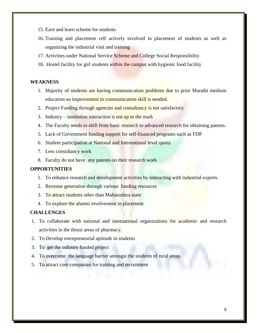- 15. Earn and learn scheme for students
- 16. Training and placement cell actively involved in placement of students as well as organizing the industrial visit and training
- 17. Activities under National Service Scheme and College Social Responsibility
- 18. Hostel facility for girl students within the campus with hygienic food facility

#### **WEAKNESS**

- 1. Majority of students are having communication problems due to prior Marathi medium education so improvement in communication skill is needed.
- 2. Project Funding through agencies and consultancy is not satisfactory
- 3. Industry institution interaction is not up to the mark
- 4. The Faculty needs to shift from basic research to advanced research for obtaining patents.
- 5. Lack of Government funding support for self-financed programs such as FDP
- 6. Student participation at National and International level sports
- 7. Less consultancy work
- 8. Faculty do not have any patents on their research work

#### **OPPORTUNITIES**

- 1. To enhance research and development activities by interacting with industrial experts.
- 2. Revenue generation through various funding resources
- 3. To attract students other than Maharashtra state
- 4. To explore the alumni involvement in placement.

#### **CHALLENGES**

- 1. To collaborate with national and international organizations for academic and research activities in the thrust areas of pharmacy.
- 2. To Develop entrepreneurial aptitude in students
- 3. To get the industry funded project
- 4. To overcome the language barrier amongst the students of rural areas.
- 5. To attract core companies for training and recruitment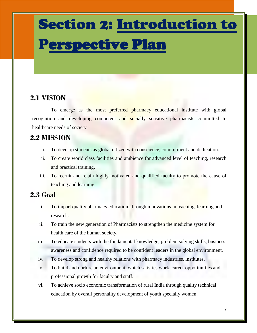## Section 2: Introduction to Perspective Plan

## **2.1 VISION**

 To emerge as the most preferred pharmacy educational institute with global recognition and developing competent and socially sensitive pharmacists committed to healthcare needs of society.

## **2.2 MISSION**

- i. To develop students as global citizen with conscience, commitment and dedication.
- ii. To create world class facilities and ambience for advanced level of teaching, research and practical training.
- iii. To recruit and retain highly motivated and qualified faculty to promote the cause of teaching and learning.

## **2.3 Goal**

- i. To impart quality pharmacy education, through innovations in teaching, learning and research.
- ii. To train the new generation of Pharmacists to strengthen the medicine system for health care of the human society.
- iii. To educate students with the fundamental knowledge, problem solving skills, business awareness and confidence required to be confident leaders in the global environment.
- iv. To develop strong and healthy relations with pharmacy industries, institutes.
- v. To build and nurture an environment, which satisfies work, career opportunities and professional growth for faculty and staff.
- vi. To achieve socio economic transformation of rural India through quality technical education by overall personality development of youth specially women.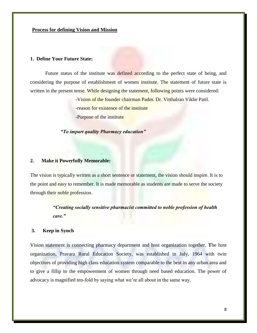#### **Process for defining Vision and Mission**

#### **1. Define Your Future State:**

Future status of the institute was defined according to the perfect state of being, and considering the purpose of establishment of women institute. The statement of future state is written in the present tense. While designing the statement, following points were considered:

-Vision of the founder chairman Padm. Dr. Vitthalrao Vikhe Patil.

-reason for existence of the institute

-Purpose of the institute

*"To impart quality Pharmacy education"*

#### **2. Make it Powerfully Memorable:**

The vision is typically written as a short sentence or statement, the vision should inspire. It is to the point and easy to remember. It is made memorable as students are made to serve the society through their noble profession.

> *"Creating socially sensitive pharmacist committed to noble profession of health care."*

#### **3. Keep in Synch**

Vision statement is connecting pharmacy department and host organization together. **T**he host organization, Pravara Rural Education Society, was established in July, 1964 with twin objectives of providing high class education system comparable to the best in any urban area and to give a fillip to the empowerment of women through need based education. The power of advocacy is magnified ten-fold by saying what we're all about in the same way.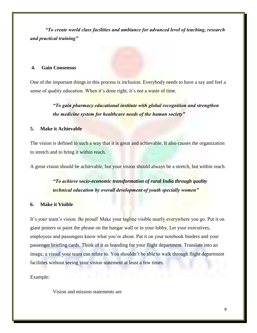*"To create world class facilities and ambiance for advanced level of teaching, research and practical training"*

#### **4. Gain Consensus**

One of the important things in this process is inclusion. Everybody needs to have a say and feel a sense of quality education. When it's done right, it's *not* a waste of time.

> *"To gain pharmacy educational institute with global recognition and strengthen the medicine system for healthcare needs of the human society"*

#### **5. Make it Achievable**

The vision is defined in such a way that it is great and achievable. It also causes the organization to stretch and to bring it within reach.

A great vision should be achievable, but your vision should always be a stretch, but within reach.

### *"To achieve socio-economic transformation of rural India through quality technical education by overall development of youth specially women"*

#### **6. Make it Visible**

It's *your* team's vision. Be proud! Make your tagline visible nearly everywhere you go. Put it on giant posters or paint the phrase on the hangar wall or in your lobby. Let your executives, employees and passengers know what you're about. Put it on your notebook binders and your passenger briefing cards. Think of it as branding for your flight department. Translate into an image, a visual your team can relate to. You shouldn't be able to walk through flight department facilities without seeing your vision statement at least a few times.

Example:

Vision and mission statements are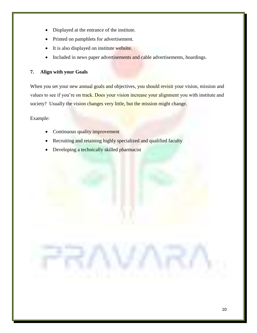- Displayed at the entrance of the institute.
- Printed on pamphlets for advertisement.
- It is also displayed on institute website.
- Included in news paper advertisements and cable advertisements, hoardings.

#### **7. Align with your Goals**

When you set your new annual goals and objectives, you should revisit your vision, mission and values to see if you're on track. Does your vision increase your alignment you with institute and society? Usually the vision changes very little, but the mission might change.

Example:

- Continuous quality improvement
- Recruiting and retaining highly specialized and qualified faculty
- Developing a technically skilled pharmacist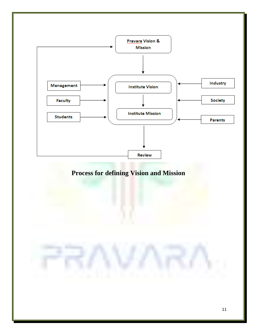

## **Process for defining Vision and Mission**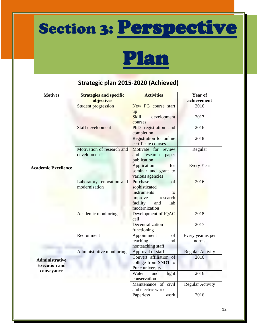# Section 3: Perspective

# Plan

## **Strategic plan 2015-2020 (Achieved)**

| <b>Motives</b>                                | <b>Strategies and specific</b><br>objectives | <b>Activities</b>                                                                                                      | <b>Year of</b><br>achievement |
|-----------------------------------------------|----------------------------------------------|------------------------------------------------------------------------------------------------------------------------|-------------------------------|
|                                               | <b>Student progression</b>                   | New PG course start<br>up                                                                                              | 2016                          |
|                                               |                                              | <b>Skill</b><br>development<br>courses                                                                                 | 2017                          |
|                                               | Staff development                            | PhD registration and<br>completion                                                                                     | 2016                          |
|                                               |                                              | Registration for online<br>certificate courses                                                                         | 2018                          |
| <b>Academic Excellence</b>                    | Motivation of research and<br>development    | Motivate for review<br>research<br>and<br>paper<br>publication                                                         | Regular                       |
|                                               |                                              | Application<br>for<br>seminar and grant to<br>various agencies                                                         | <b>Every Year</b>             |
|                                               | Laboratory renovation and<br>modernization   | Purchase<br>of<br>sophisticated<br>instruments<br>to<br>research<br>improve<br>facility<br>and<br>lab<br>modernization | 2016                          |
|                                               | Academic monitoring                          | Development of IQAC<br>cell                                                                                            | 2018                          |
|                                               |                                              | Decentralization<br>functioning                                                                                        | 2017                          |
|                                               | Recruitment                                  | Appointment<br>of<br>teaching<br>and<br>nonteaching staff                                                              | Every year as per<br>norms    |
|                                               | Administrative monitoring                    | Approval of staff                                                                                                      | <b>Regular Activity</b>       |
| <b>Administrative</b><br><b>Execution and</b> |                                              | Convert affiliation of<br>college from SNDT to<br>Pune university                                                      | 2016                          |
| conveyance                                    |                                              | Water<br>light<br>and<br>conservation                                                                                  | 2016                          |
|                                               |                                              | Maintenance of civil<br>and electric work                                                                              | Regular Activity              |
|                                               |                                              | work<br>Paperless                                                                                                      | 2016                          |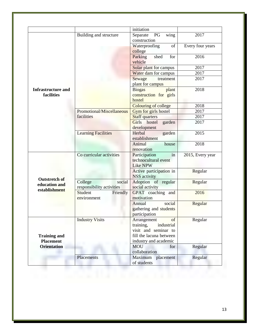|                                                        |                                                | initiation                                                                                                               |                  |
|--------------------------------------------------------|------------------------------------------------|--------------------------------------------------------------------------------------------------------------------------|------------------|
|                                                        | Building and structure                         | Separate<br>PG<br>wing<br>construction                                                                                   | 2017             |
|                                                        |                                                | of<br>Waterproofing<br>college                                                                                           | Every four years |
|                                                        |                                                | Parking<br>for<br>shed<br>vehicle                                                                                        | 2016             |
|                                                        |                                                | Solar plant for campus                                                                                                   | 2017             |
|                                                        |                                                | Water dam for campus                                                                                                     | 2017             |
|                                                        |                                                | Sewage<br>treatment<br>plant for campus                                                                                  | 2017             |
| <b>Infrastructure and</b><br>facilities                |                                                | <b>Biogas</b><br>plant<br>construction for girls<br>hostel                                                               | 2018             |
|                                                        |                                                | Colouring of college                                                                                                     | 2018             |
|                                                        | Promotional/Miscellaneous                      | Gym for girls hostel                                                                                                     | 2017             |
|                                                        | facilities                                     | <b>Staff</b> quarters                                                                                                    | 2017             |
|                                                        |                                                | <b>Girls</b><br>hostel<br>garden<br>development                                                                          | 2017             |
|                                                        | <b>Learning Facilities</b>                     | Herbal<br>garden<br>establishment                                                                                        | 2015             |
|                                                        |                                                | Animal<br>house<br>renovation                                                                                            | 2018             |
|                                                        | Co curricular activities                       | Participation<br>in<br>technocultural event<br>Like NPW                                                                  | 2015, Every year |
|                                                        |                                                | Active participation in<br><b>NSS</b> activity                                                                           | Regular          |
| <b>Outstretch of</b><br>education and<br>establishment | College<br>social<br>responsibility activities | Adoption of regular<br>social activity                                                                                   | Regular          |
|                                                        | Student<br>Friendly<br>environment             | GPAT coaching and<br>motivation                                                                                          | 2016             |
|                                                        |                                                | social<br>Annual<br>gathering and students<br>participation                                                              | Regular          |
| <b>Training and</b><br><b>Placement</b>                | <b>Industry Visits</b>                         | of<br>Arrangement<br>training,<br>industrial<br>visit and seminar to<br>fill the lacuna between<br>industry and academic | Regular          |
| <b>Orientation</b>                                     |                                                | <b>MOU</b><br>for<br>collaboration                                                                                       | Regular          |
|                                                        | Placements                                     | Maximum placement<br>of students                                                                                         | Regular          |